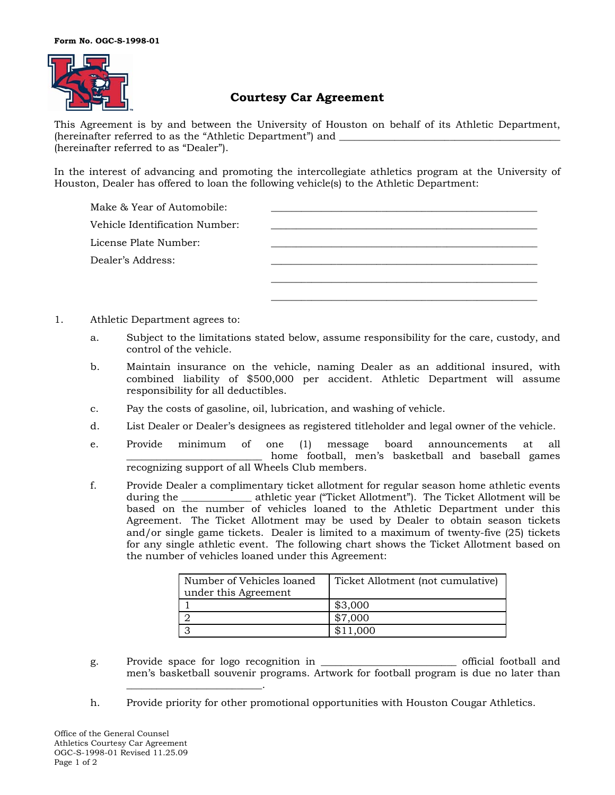

# **Courtesy Car Agreement**

This Agreement is by and between the University of Houston on behalf of its Athletic Department, (hereinafter referred to as the "Athletic Department") and (hereinafter referred to as "Dealer").

In the interest of advancing and promoting the intercollegiate athletics program at the University of Houston, Dealer has offered to loan the following vehicle(s) to the Athletic Department:

| Make & Year of Automobile:     |  |
|--------------------------------|--|
| Vehicle Identification Number: |  |
| License Plate Number:          |  |
| Dealer's Address:              |  |
|                                |  |
|                                |  |

- 1. Athletic Department agrees to:
	- a. Subject to the limitations stated below, assume responsibility for the care, custody, and control of the vehicle.
	- b. Maintain insurance on the vehicle, naming Dealer as an additional insured, with combined liability of \$500,000 per accident. Athletic Department will assume responsibility for all deductibles.
	- c. Pay the costs of gasoline, oil, lubrication, and washing of vehicle.
	- d. List Dealer or Dealer's designees as registered titleholder and legal owner of the vehicle.
	- e. Provide minimum of one (1) message board announcements at all home football, men's basketball and baseball games recognizing support of all Wheels Club members.
	- f. Provide Dealer a complimentary ticket allotment for regular season home athletic events during the \_\_\_\_\_\_\_\_\_\_\_\_\_\_ athletic year ("Ticket Allotment"). The Ticket Allotment will be based on the number of vehicles loaned to the Athletic Department under this Agreement. The Ticket Allotment may be used by Dealer to obtain season tickets and/or single game tickets. Dealer is limited to a maximum of twenty-five (25) tickets for any single athletic event. The following chart shows the Ticket Allotment based on the number of vehicles loaned under this Agreement:

| Number of Vehicles loaned<br>under this Agreement | Ticket Allotment (not cumulative) |
|---------------------------------------------------|-----------------------------------|
|                                                   | \$3,000                           |
|                                                   | \$7,000                           |
|                                                   | \$11,000                          |

- g. Provide space for logo recognition in \_\_\_\_\_\_\_\_\_\_\_\_\_\_\_\_\_\_\_\_\_\_\_\_\_\_\_ official football and men's basketball souvenir programs. Artwork for football program is due no later than \_\_\_\_\_\_\_\_\_\_\_\_\_\_\_\_\_\_\_\_\_\_\_\_\_\_\_.
- h. Provide priority for other promotional opportunities with Houston Cougar Athletics.